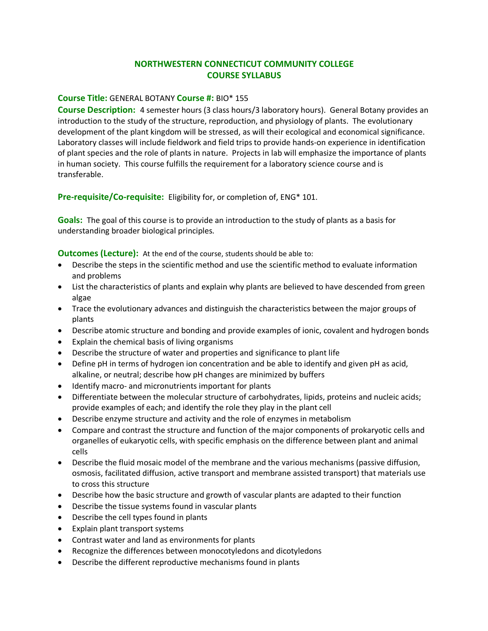## **NORTHWESTERN CONNECTICUT COMMUNITY COLLEGE COURSE SYLLABUS**

## **Course Title:** GENERAL BOTANY **Course #:** BIO\* 155

**Course Description:** 4 semester hours (3 class hours/3 laboratory hours). General Botany provides an introduction to the study of the structure, reproduction, and physiology of plants. The evolutionary development of the plant kingdom will be stressed, as will their ecological and economical significance. Laboratory classes will include fieldwork and field trips to provide hands-on experience in identification of plant species and the role of plants in nature. Projects in lab will emphasize the importance of plants in human society. This course fulfills the requirement for a laboratory science course and is transferable.

**Pre-requisite/Co-requisite:** Eligibility for, or completion of, ENG\* 101.

**Goals:** The goal of this course is to provide an introduction to the study of plants as a basis for understanding broader biological principles.

**Outcomes (Lecture):** At the end of the course, students should be able to:

- Describe the steps in the scientific method and use the scientific method to evaluate information and problems
- List the characteristics of plants and explain why plants are believed to have descended from green algae
- Trace the evolutionary advances and distinguish the characteristics between the major groups of plants
- Describe atomic structure and bonding and provide examples of ionic, covalent and hydrogen bonds
- Explain the chemical basis of living organisms
- Describe the structure of water and properties and significance to plant life
- Define pH in terms of hydrogen ion concentration and be able to identify and given pH as acid, alkaline, or neutral; describe how pH changes are minimized by buffers
- Identify macro- and micronutrients important for plants
- Differentiate between the molecular structure of carbohydrates, lipids, proteins and nucleic acids; provide examples of each; and identify the role they play in the plant cell
- Describe enzyme structure and activity and the role of enzymes in metabolism
- Compare and contrast the structure and function of the major components of prokaryotic cells and organelles of eukaryotic cells, with specific emphasis on the difference between plant and animal cells
- Describe the fluid mosaic model of the membrane and the various mechanisms (passive diffusion, osmosis, facilitated diffusion, active transport and membrane assisted transport) that materials use to cross this structure
- Describe how the basic structure and growth of vascular plants are adapted to their function
- Describe the tissue systems found in vascular plants
- Describe the cell types found in plants
- Explain plant transport systems
- Contrast water and land as environments for plants
- Recognize the differences between monocotyledons and dicotyledons
- Describe the different reproductive mechanisms found in plants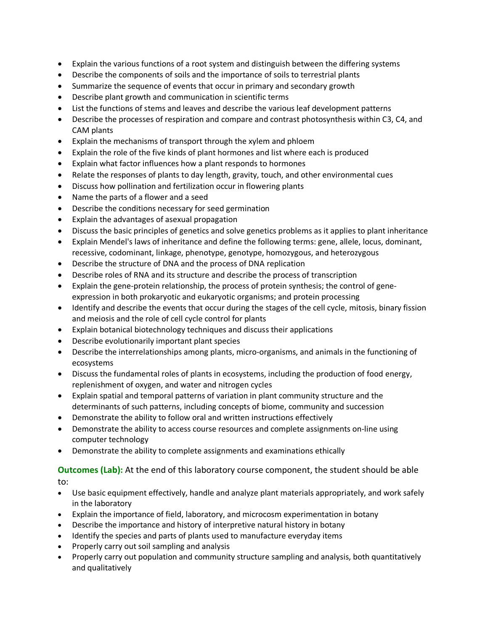- Explain the various functions of a root system and distinguish between the differing systems
- Describe the components of soils and the importance of soils to terrestrial plants
- Summarize the sequence of events that occur in primary and secondary growth
- Describe plant growth and communication in scientific terms
- List the functions of stems and leaves and describe the various leaf development patterns
- Describe the processes of respiration and compare and contrast photosynthesis within C3, C4, and CAM plants
- Explain the mechanisms of transport through the xylem and phloem
- Explain the role of the five kinds of plant hormones and list where each is produced
- Explain what factor influences how a plant responds to hormones
- Relate the responses of plants to day length, gravity, touch, and other environmental cues
- Discuss how pollination and fertilization occur in flowering plants
- Name the parts of a flower and a seed
- Describe the conditions necessary for seed germination
- Explain the advantages of asexual propagation
- Discuss the basic principles of genetics and solve genetics problems as it applies to plant inheritance
- Explain Mendel's laws of inheritance and define the following terms: gene, allele, locus, dominant, recessive, codominant, linkage, phenotype, genotype, homozygous, and heterozygous
- Describe the structure of DNA and the process of DNA replication
- Describe roles of RNA and its structure and describe the process of transcription
- Explain the gene-protein relationship, the process of protein synthesis; the control of geneexpression in both prokaryotic and eukaryotic organisms; and protein processing
- Identify and describe the events that occur during the stages of the cell cycle, mitosis, binary fission and meiosis and the role of cell cycle control for plants
- Explain botanical biotechnology techniques and discuss their applications
- Describe evolutionarily important plant species
- Describe the interrelationships among plants, micro-organisms, and animals in the functioning of ecosystems
- Discuss the fundamental roles of plants in ecosystems, including the production of food energy, replenishment of oxygen, and water and nitrogen cycles
- Explain spatial and temporal patterns of variation in plant community structure and the determinants of such patterns, including concepts of biome, community and succession
- Demonstrate the ability to follow oral and written instructions effectively
- Demonstrate the ability to access course resources and complete assignments on-line using computer technology
- Demonstrate the ability to complete assignments and examinations ethically

**Outcomes (Lab):** At the end of this laboratory course component, the student should be able to:

- Use basic equipment effectively, handle and analyze plant materials appropriately, and work safely in the laboratory
- Explain the importance of field, laboratory, and microcosm experimentation in botany
- Describe the importance and history of interpretive natural history in botany
- Identify the species and parts of plants used to manufacture everyday items
- Properly carry out soil sampling and analysis
- Properly carry out population and community structure sampling and analysis, both quantitatively and qualitatively